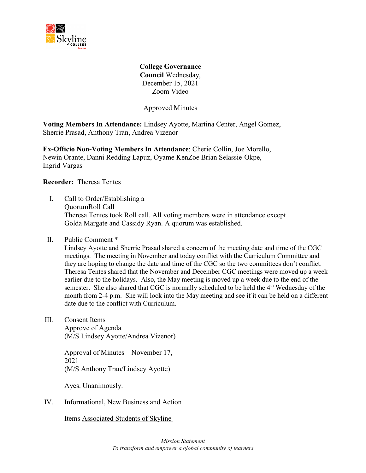

**College Governance Council** Wednesday, December 15, 2021 Zoom Video

Approved Minutes

**Voting Members In Attendance:** Lindsey Ayotte, Martina Center, Angel Gomez, Sherrie Prasad, Anthony Tran, Andrea Vizenor

**Ex-Officio Non-Voting Members In Attendance**: Cherie Collin, Joe Morello, Newin Orante, Danni Redding Lapuz, Oyame KenZoe Brian Selassie-Okpe, Ingrid Vargas

**Recorder:** Theresa Tentes

- I. Call to Order/Establishing a QuorumRoll Call Theresa Tentes took Roll call. All voting members were in attendance except Golda Margate and Cassidy Ryan. A quorum was established.
- II. Public Comment \*

Lindsey Ayotte and Sherrie Prasad shared a concern of the meeting date and time of the CGC meetings. The meeting in November and today conflict with the Curriculum Committee and they are hoping to change the date and time of the CGC so the two committees don't conflict. Theresa Tentes shared that the November and December CGC meetings were moved up a week earlier due to the holidays. Also, the May meeting is moved up a week due to the end of the semester. She also shared that CGC is normally scheduled to be held the 4<sup>th</sup> Wednesday of the month from 2-4 p.m. She will look into the May meeting and see if it can be held on a different date due to the conflict with Curriculum.

III. Consent Items

Approve of Agenda (M/S Lindsey Ayotte/Andrea Vizenor)

Approval of Minutes – November 17, 2021 (M/S Anthony Tran/Lindsey Ayotte)

Ayes. Unanimously.

IV. Informational, New Business and Action

Items Associated Students of Skyline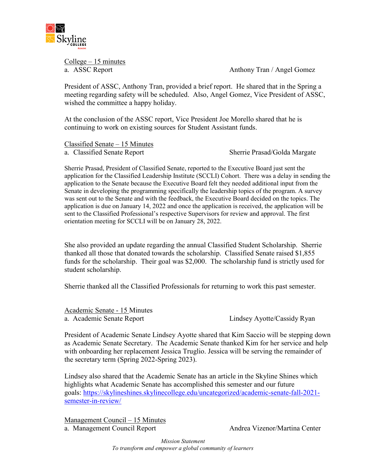

 $Collect – 15 minutes$ 

a. ASSC Report **Anthony Tran / Angel Gomez** 

President of ASSC, Anthony Tran, provided a brief report. He shared that in the Spring a meeting regarding safety will be scheduled. Also, Angel Gomez, Vice President of ASSC, wished the committee a happy holiday.

At the conclusion of the ASSC report, Vice President Joe Morello shared that he is continuing to work on existing sources for Student Assistant funds.

Classified Senate – 15 Minutes a. Classified Senate Report Sherrie Prasad/Golda Margate

Sherrie Prasad, President of Classified Senate, reported to the Executive Board just sent the application for the Classified Leadership Institute (SCCLI) Cohort. There was a delay in sending the application to the Senate because the Executive Board felt they needed additional input from the Senate in developing the programming specifically the leadership topics of the program. A survey was sent out to the Senate and with the feedback, the Executive Board decided on the topics. The application is due on January 14, 2022 and once the application is received, the application will be sent to the Classified Professional's respective Supervisors for review and approval. The first orientation meeting for SCCLI will be on January 28, 2022.

She also provided an update regarding the annual Classified Student Scholarship. Sherrie thanked all those that donated towards the scholarship. Classified Senate raised \$1,855 funds for the scholarship. Their goal was \$2,000. The scholarship fund is strictly used for student scholarship.

Sherrie thanked all the Classified Professionals for returning to work this past semester.

Academic Senate - 15 Minutes a. Academic Senate Report Lindsey Ayotte/Cassidy Ryan

President of Academic Senate Lindsey Ayotte shared that Kim Saccio will be stepping down as Academic Senate Secretary. The Academic Senate thanked Kim for her service and help with onboarding her replacement Jessica Truglio. Jessica will be serving the remainder of the secretary term (Spring 2022-Spring 2023).

Lindsey also shared that the Academic Senate has an article in the Skyline Shines which highlights what Academic Senate has accomplished this semester and our future goals: [https://skylineshines.skylinecollege.edu/uncategorized/academic-senate-fall-2021](https://skylineshines.skylinecollege.edu/uncategorized/academic-senate-fall-2021-semester-in-review/) [semester-in-review/](https://skylineshines.skylinecollege.edu/uncategorized/academic-senate-fall-2021-semester-in-review/)

Management Council – 15 Minutes a. Management Council Report Andrea Vizenor/Martina Center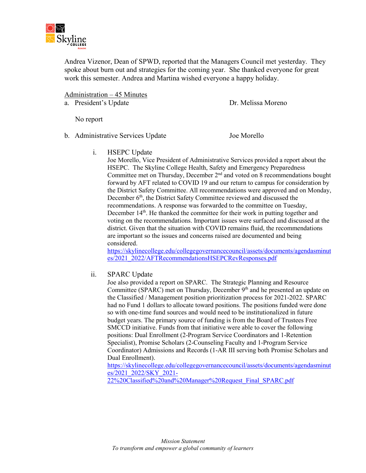

Andrea Vizenor, Dean of SPWD, reported that the Managers Council met yesterday. They spoke about burn out and strategies for the coming year. She thanked everyone for great work this semester. Andrea and Martina wished everyone a happy holiday.

Administration – 45 Minutes

a. President's Update Dr. Melissa Moreno

No report

b. Administrative Services Update Joe Morello

i. HSEPC Update

Joe Morello, Vice President of Administrative Services provided a report about the HSEPC. The Skyline College Health, Safety and Emergency Preparedness Committee met on Thursday, December  $2<sup>nd</sup>$  and voted on 8 recommendations bought forward by AFT related to COVID 19 and our return to campus for consideration by the District Safety Committee. All recommendations were approved and on Monday, December 6<sup>th</sup>, the District Safety Committee reviewed and discussed the recommendations. A response was forwarded to the committee on Tuesday, December 14<sup>th</sup>. He thanked the committee for their work in putting together and voting on the recommendations. Important issues were surfaced and discussed at the district. Given that the situation with COVID remains fluid, the recommendations are important so the issues and concerns raised are documented and being considered.

[https://skylinecollege.edu/collegegovernancecouncil/assets/documents/agendasminut](https://skylinecollege.edu/collegegovernancecouncil/assets/documents/agendasminutes/2021_2022/AFTRecommendationsHSEPCRevResponses.pdf) [es/2021\\_2022/AFTRecommendationsHSEPCRevResponses.pdf](https://skylinecollege.edu/collegegovernancecouncil/assets/documents/agendasminutes/2021_2022/AFTRecommendationsHSEPCRevResponses.pdf)

ii. SPARC Update

Joe also provided a report on SPARC. The Strategic Planning and Resource Committee (SPARC) met on Thursday, December  $9<sup>th</sup>$  and he presented an update on the Classified / Management position prioritization process for 2021-2022. SPARC had no Fund 1 dollars to allocate toward positions. The positions funded were done so with one-time fund sources and would need to be institutionalized in future budget years. The primary source of funding is from the Board of Trustees Free SMCCD initiative. Funds from that initiative were able to cover the following positions: Dual Enrollment (2-Program Service Coordinators and 1-Retention Specialist), Promise Scholars (2-Counseling Faculty and 1-Program Service Coordinator) Admissions and Records (1-AR III serving both Promise Scholars and Dual Enrollment).

[https://skylinecollege.edu/collegegovernancecouncil/assets/documents/agendasminut](https://skylinecollege.edu/collegegovernancecouncil/assets/documents/agendasminutes/2021_2022/SKY_2021-22%20Classified%20and%20Manager%20Request_Final_SPARC.pdf) [es/2021\\_2022/SKY\\_2021-](https://skylinecollege.edu/collegegovernancecouncil/assets/documents/agendasminutes/2021_2022/SKY_2021-22%20Classified%20and%20Manager%20Request_Final_SPARC.pdf)

[22%20Classified%20and%20Manager%20Request\\_Final\\_SPARC.pdf](https://skylinecollege.edu/collegegovernancecouncil/assets/documents/agendasminutes/2021_2022/SKY_2021-22%20Classified%20and%20Manager%20Request_Final_SPARC.pdf)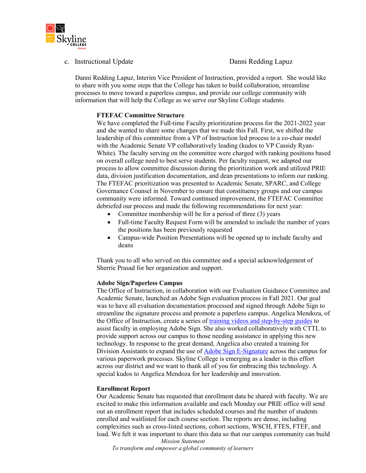

c. Instructional Update **Danni Redding Lapuz** 

Danni Redding Lapuz, Interim Vice President of Instruction, provided a report. She would like to share with you some steps that the College has taken to build collaboration, streamline processes to move toward a paperless campus, and provide our college community with information that will help the College as we serve our Skyline College students.

## **FTEFAC Committee Structure**

We have completed the Full-time Faculty prioritization process for the 2021-2022 year and she wanted to share some changes that we made this Fall. First, we shifted the leadership of this committee from a VP of Instruction led process to a co-chair model with the Academic Senate VP collaboratively leading (kudos to VP Cassidy Ryan-White). The faculty serving on the committee were charged with ranking positions based on overall college need to best serve students. Per faculty request, we adapted our process to allow committee discussion during the prioritization work and utilized PRIE data, division justification documentation, and dean presentations to inform our ranking. The FTEFAC prioritization was presented to Academic Senate, SPARC, and College Governance Counsel in November to ensure that constituency groups and our campus community were informed. Toward continued improvement, the FTEFAC Committee debriefed our process and made the following recommendations for next year:

- Committee membership will be for a period of three (3) years
- Full-time Faculty Request Form will be amended to include the number of years the positions has been previously requested
- Campus-wide Position Presentations will be opened up to include faculty and deans

Thank you to all who served on this committee and a special acknowledgement of Sherrie Prasad for her organization and support.

### **Adobe Sign/Paperless Campus**

The Office of Instruction, in collaboration with our Evaluation Guidance Committee and Academic Senate, launched an Adobe Sign evaluation process in Fall 2021. Our goal was to have all evaluation documentation processed and signed through Adobe Sign to streamline the signature process and promote a paperless campus. Angelica Mendoza, of the Office of Instruction, create a series of [training videos and step-by-step guides](https://skylinecollege.edu/instructionoffice/adobesign-facultyevaluationtemplates.php) to assist faculty in employing Adobe Sign. She also worked collaboratively with CTTL to provide support across our campus to those needing assistance in applying this new technology. In response to the great demand, Angelica also created a training for Division Assistants to expand the use of [Adobe Sign E-Signature](https://skylinecollege.edu/instructionoffice/adobesign-esignature.php) across the campus for various paperwork processes. Skyline College is emerging as a leader in this effort across our district and we want to thank all of you for embracing this technology. A special kudos to Angelica Mendoza for her leadership and innovation.

### **Enrollment Report**

Our Academic Senate has requested that enrollment data be shared with faculty. We are excited to make this information available and each Monday our PRIE office will send out an enrollment report that includes scheduled courses and the number of students enrolled and waitlisted for each course section. The reports are dense, including complexities such as cross-listed sections, cohort sections, WSCH, FTES, FTEF, and load. We felt it was important to share this data so that our campus community can build

*Mission Statement To transform and empower a global community of learners*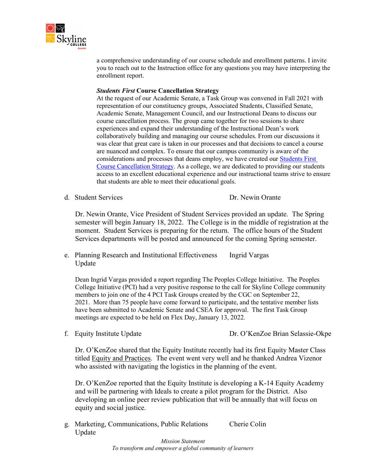

a comprehensive understanding of our course schedule and enrollment patterns. I invite you to reach out to the Instruction office for any questions you may have interpreting the enrollment report.

### *Students First* **Course Cancellation Strategy**

At the request of our Academic Senate, a Task Group was convened in Fall 2021 with representation of our constituency groups, Associated Students, Classified Senate, Academic Senate, Management Council, and our Instructional Deans to discuss our course cancellation process. The group came together for two sessions to share experiences and expand their understanding of the Instructional Dean's work collaboratively building and managing our course schedules. From our discussions it was clear that great care is taken in our processes and that decisions to cancel a course are nuanced and complex. To ensure that our campus community is aware of the considerations and processes that deans employ, we have created our [Students First](https://skylinecollege.edu/instructionoffice/studentsfirstcoursecancellationstrategy.php)  [Course Cancellation Strategy.](https://skylinecollege.edu/instructionoffice/studentsfirstcoursecancellationstrategy.php) As a college, we are dedicated to providing our students access to an excellent educational experience and our instructional teams strive to ensure that students are able to meet their educational goals.

d. Student Services Dr. Newin Orante

Dr. Newin Orante, Vice President of Student Services provided an update. The Spring semester will begin January 18, 2022. The College is in the middle of registration at the moment. Student Services is preparing for the return. The office hours of the Student Services departments will be posted and announced for the coming Spring semester.

e. Planning Research and Institutional Effectiveness Ingrid Vargas Update

Dean Ingrid Vargas provided a report regarding The Peoples College Initiative. The Peoples College Initiative (PCI) had a very positive response to the call for Skyline College community members to join one of the 4 PCI Task Groups created by the CGC on September 22, 2021. More than 75 people have come forward to participate, and the tentative member lists have been submitted to Academic Senate and CSEA for approval. The first Task Group meetings are expected to be held on Flex Day, January 13, 2022.

f. Equity Institute Update Dr. O'KenZoe Brian Selassie-Okpe

Dr. O'KenZoe shared that the Equity Institute recently had its first Equity Master Class titled Equity and Practices. The event went very well and he thanked Andrea Vizenor who assisted with navigating the logistics in the planning of the event.

Dr. O'KenZoe reported that the Equity Institute is developing a K-14 Equity Academy and will be partnering with Ideals to create a pilot program for the District. Also developing an online peer review publication that will be annually that will focus on equity and social justice.

g. Marketing, Communications, Public Relations Cherie Colin Update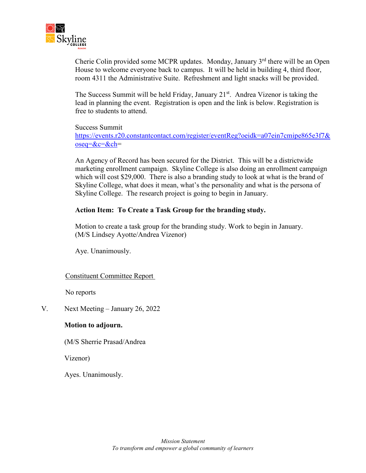

Cherie Colin provided some MCPR updates. Monday, January  $3<sup>rd</sup>$  there will be an Open House to welcome everyone back to campus. It will be held in building 4, third floor, room 4311 the Administrative Suite. Refreshment and light snacks will be provided.

The Success Summit will be held Friday, January 21<sup>st</sup>. Andrea Vizenor is taking the lead in planning the event. Registration is open and the link is below. Registration is free to students to attend.

Success Summit [https://events.r20.constantcontact.com/register/eventReg?oeidk=a07ein7cmipe865e3f7&](https://events.r20.constantcontact.com/register/eventReg?oeidk=a07ein7cmipe865e3f7&oseq=&c=&ch) [oseq=&c=&ch=](https://events.r20.constantcontact.com/register/eventReg?oeidk=a07ein7cmipe865e3f7&oseq=&c=&ch)

An Agency of Record has been secured for the District. This will be a districtwide marketing enrollment campaign. Skyline College is also doing an enrollment campaign which will cost \$29,000. There is also a branding study to look at what is the brand of Skyline College, what does it mean, what's the personality and what is the persona of Skyline College. The research project is going to begin in January.

# **Action Item: To Create a Task Group for the branding study.**

Motion to create a task group for the branding study. Work to begin in January. (M/S Lindsey Ayotte/Andrea Vizenor)

Aye. Unanimously.

# Constituent Committee Report

No reports

V. Next Meeting – January 26, 2022

# **Motion to adjourn.**

(M/S Sherrie Prasad/Andrea

Vizenor)

Ayes. Unanimously.